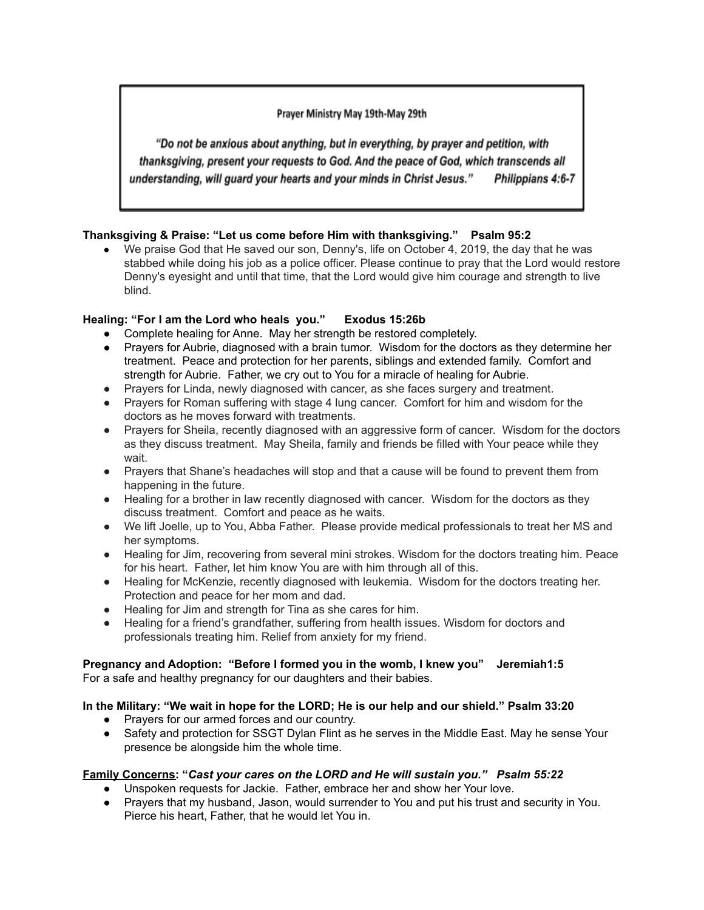## Prayer Ministry May 19th-May 29th

"Do not be anxious about anything, but in everything, by prayer and petition, with thanksgiving, present your requests to God. And the peace of God, which transcends all understanding, will guard your hearts and your minds in Christ Jesus." Philippians 4:6-7

# **Thanksgiving & Praise: "Let us come before Him with thanksgiving." Psalm 95:2**

● We praise God that He saved our son, Denny's, life on October 4, 2019, the day that he was stabbed while doing his job as a police officer. Please continue to pray that the Lord would restore Denny's eyesight and until that time, that the Lord would give him courage and strength to live blind.

# **Healing: "For I am the Lord who heals you." Exodus 15:26b**

- Complete healing for Anne. May her strength be restored completely.
- Prayers for Aubrie, diagnosed with a brain tumor. Wisdom for the doctors as they determine her treatment. Peace and protection for her parents, siblings and extended family. Comfort and strength for Aubrie. Father, we cry out to You for a miracle of healing for Aubrie.
- Prayers for Linda, newly diagnosed with cancer, as she faces surgery and treatment.
- Prayers for Roman suffering with stage 4 lung cancer. Comfort for him and wisdom for the doctors as he moves forward with treatments.
- Prayers for Sheila, recently diagnosed with an aggressive form of cancer. Wisdom for the doctors as they discuss treatment. May Sheila, family and friends be filled with Your peace while they wait.
- Prayers that Shane's headaches will stop and that a cause will be found to prevent them from happening in the future.
- Healing for a brother in law recently diagnosed with cancer. Wisdom for the doctors as they discuss treatment. Comfort and peace as he waits.
- We lift Joelle, up to You, Abba Father. Please provide medical professionals to treat her MS and her symptoms.
- Healing for Jim, recovering from several mini strokes. Wisdom for the doctors treating him. Peace for his heart. Father, let him know You are with him through all of this.
- Healing for McKenzie, recently diagnosed with leukemia. Wisdom for the doctors treating her. Protection and peace for her mom and dad.
- Healing for Jim and strength for Tina as she cares for him.
- Healing for a friend's grandfather, suffering from health issues. Wisdom for doctors and professionals treating him. Relief from anxiety for my friend.

### **Pregnancy and Adoption: "Before I formed you in the womb, I knew you" Jeremiah1:5** For a safe and healthy pregnancy for our daughters and their babies.

## **In the Military: "We wait in hope for the LORD; He is our help and our shield." Psalm 33:20**

- Prayers for our armed forces and our country.
- Safety and protection for SSGT Dylan Flint as he serves in the Middle East. May he sense Your presence be alongside him the whole time.

## **Family Concerns: "***Cast your cares on the LORD and He will sustain you." Psalm 55:22*

- Unspoken requests for Jackie. Father, embrace her and show her Your love.
- Prayers that my husband, Jason, would surrender to You and put his trust and security in You. Pierce his heart, Father, that he would let You in.